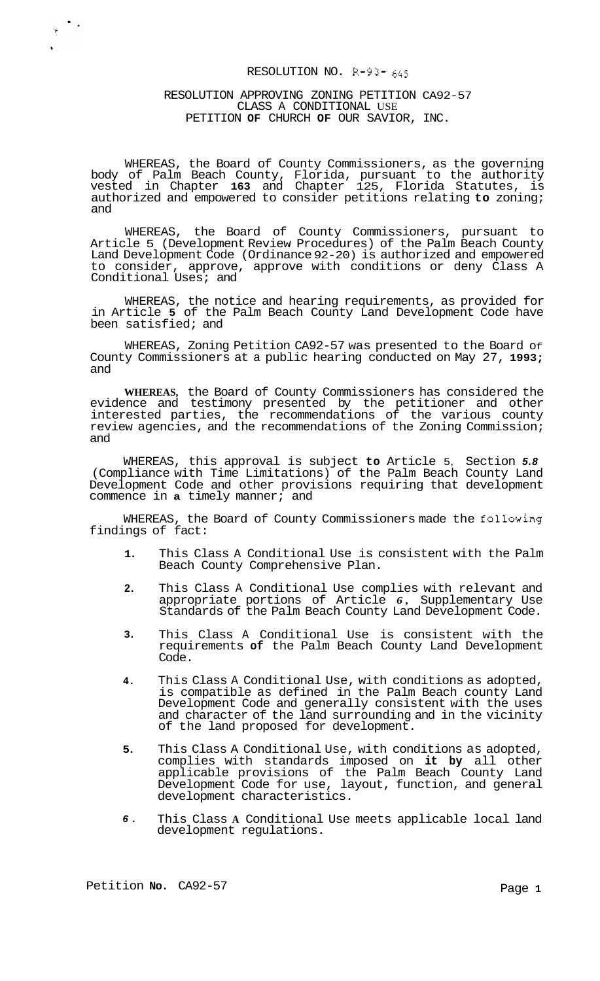# RESOLUTION NO. R-93- *<sup>645</sup>*

# RESOLUTION APPROVING ZONING PETITION CA92-57 CLASS A CONDITIONAL USE PETITION **OF** CHURCH **OF** OUR SAVIOR, INC.

WHEREAS, the Board of County Commissioners, as the governing body of Palm Beach County, Florida, pursuant to the authority vested in Chapter **163** and Chapter 125, Florida Statutes, is authorized and empowered to consider petitions relating **to** zoning; and

WHEREAS, the Board of County Commissioners, pursuant to Article 5 (Development Review Procedures) of the Palm Beach County Land Development Code (Ordinance 92-20) is authorized and empowered to consider, approve, approve with conditions or deny Class A Conditional Uses; and

WHEREAS, the notice and hearing requirements, as provided for in Article **5** of the Palm Beach County Land Development Code have been satisfied; and

WHEREAS, Zoning Petition CA92-57 was presented to the Board Of County Commissioners at a public hearing conducted on May 27, **1993;**  and

**WHEREAS,** the Board of County Commissioners has considered the evidence and testimony presented by the petitioner and other interested parties, the recommendations of the various county review agencies, and the recommendations of the Zoning Commission; and

WHEREAS, this approval is subject **to** Article 5, Section *5.8*  (Compliance with Time Limitations) of the Palm Beach County Land Development Code and other provisions requiring that development commence in **a** timely manner; and

WHEREAS, the Board of County Commissioners made the following findings of fact:

- **1.**  This Class A Conditional Use is consistent with the Palm Beach County Comprehensive Plan.
- **2.**  This Class A Conditional Use complies with relevant and appropriate portions of Article *6,* Supplementary Use Standards of the Palm Beach County Land Development Code.
- **3.**  This Class A Conditional Use is consistent with the requirements **of** the Palm Beach County Land Development Code.
- **4.**  This Class A Conditional Use, with conditions as adopted, is compatible as defined in the Palm Beach county Land Development Code and generally consistent with the uses and character of the land surrounding and in the vicinity of the land proposed for development.
- **5.**  This Class A Conditional Use, with conditions as adopted, complies with standards imposed on **it by** all other applicable provisions of the Palm Beach County Land Development Code for use, layout, function, and general development characteristics.
- *6.*  This Class **A** Conditional Use meets applicable local land development regulations.

 $\begin{array}{c} \bullet \\ \bullet \\ \bullet \end{array}$ 

 $\mathbf{v}$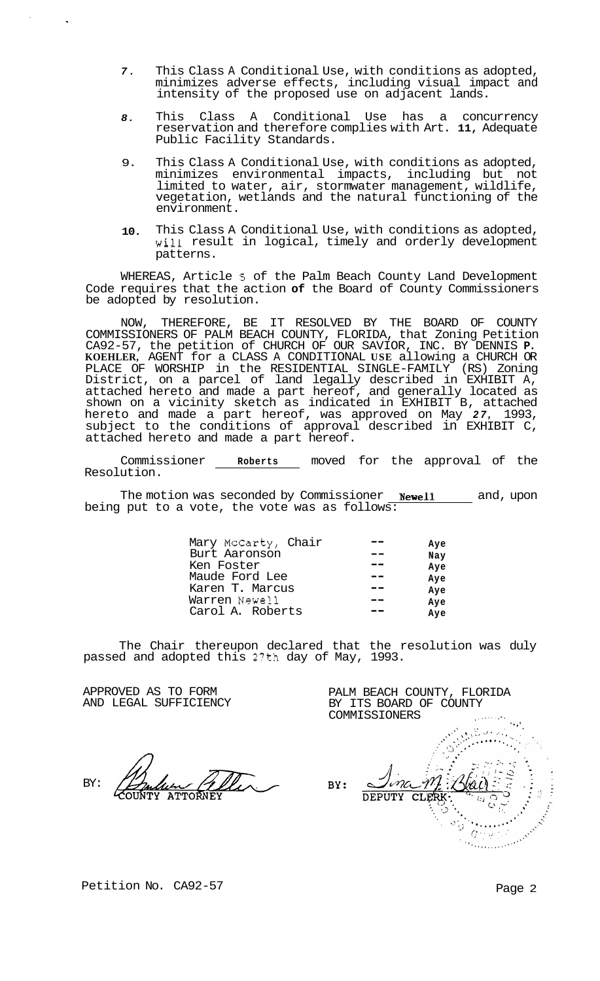- *7.*  This Class A Conditional Use, with conditions as adopted, minimizes adverse effects, including visual impact and intensity of the proposed use on adjacent lands.
- *8.*  This Class A Conditional Use has a concurrency reservation and therefore complies with Art. **11,** Adequate Public Facility Standards.
- 9. This Class A Conditional Use, with conditions as adopted, minimizes environmental impacts, including but not limited to water, air, stormwater management, wildlife, vegetation, wetlands and the natural functioning of the environment.
- **10.**  This Class A Conditional Use, with conditions as adopted, will result in logical, timely and orderly development patterns.

WHEREAS, Article **5** of the Palm Beach County Land Development Code requires that the action **of** the Board of County Commissioners be adopted by resolution.

NOW, THEREFORE, BE IT RESOLVED BY THE BOARD OF COUNTY COMMISSIONERS OF PALM BEACH COUNTY, FLORIDA, that Zoning Petition CA92-57, the petition of CHURCH OF OUR SAVIOR, INC. BY DENNIS **P. KOEHLER,** AGENT for a CLASS A CONDITIONAL **USE** allowing a CHURCH OR PLACE OF WORSHIP in the RESIDENTIAL SINGLE-FAMILY (RS) Zoning District, on a parcel of land legally described in EXHIBIT A, attached hereto and made a part hereof, and generally located as shown on a vicinity sketch as indicated in EXHIBIT B, attached hereto and made a part hereof, was approved on May *27,* 1993, subject to the conditions of approval described in EXHIBIT C, attached hereto and made a part hereof.

Commissioner **Roberts** moved for the approval of the Resolution.

The motion was seconded by Commissioner **Newell** and, upon being put to a vote, the vote was as follows:

| Mary McCarty, Chair | Ave |
|---------------------|-----|
| Burt Aaronson       | Nay |
| Ken Foster          | Ave |
| Maude Ford Lee      | Ave |
| Karen T. Marcus     | Ave |
| Warren Newell       | Ave |
| Carol A. Roberts    | Ave |

The Chair thereupon declared that the resolution was duly passed and adopted this 2?th day of May, 1993.

APPROVED AS TO FORM AND LEGAL SUFFICIENCY

BY:

PALM BEACH COUNTY, FLORIDA BY ITS BOARD OF COUNTY

COMMISSIONERS ,,,..I.. \*.. '. > **<sup>I</sup>**.~ , '. .. .- ~ ,C,.." : *'I* . BY: Ma **DEPUTY**  $CLE$ All All Company  $\sigma$  and

Petition No. CA92-57 Page 2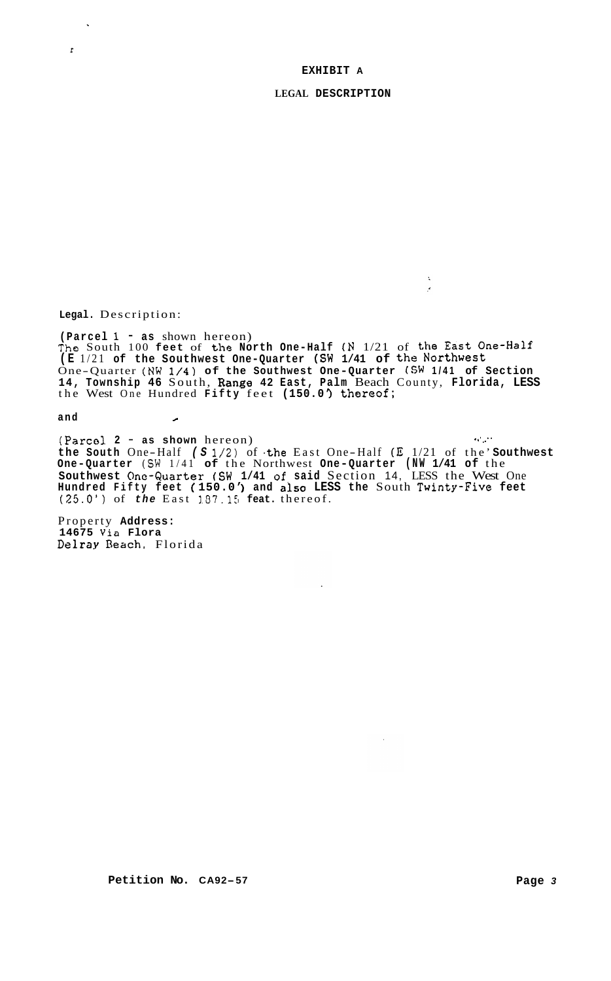### **EXHIBIT A**

**LEGAL DESCRIPTION** 

 $\bar{\mathbf{z}}$  $\overline{a}$ 

**Legal.** Description:

 $\Delta$ 

 $\pmb{r}$ 

**(Parcel 1** - **as** shown hereon) The South 100 feet of the North One-Half (N 1/21 of the East One-Half **(E** 1/21 **of the Southwest One-Quarter (SW 1/41 of** the **Northwest**  One-Quarter **(NW 1/4) of the Southwest One-Quarter (SW 1/41 of Section 14, Township 46** South, **Range 42 East, Palm** Beach County, **Florida, LESS**  the West One Hundred **Fifty** feet **(150.0'** ) **thoreof;** 

**and** *c* 

(Parco1 **2** - **as shown** hereon) **the South** One-Half *(S* 1/2) of **.the** East One -Half (E 1/21 of the' **Southwest One-Quarter (SW** 1/41 **of** the Northwest **One-Quarter (NW 1/41 of** the **Southwest Onc-Quarter (SW 1/41** of. **said** Section 14, LESS the West One **Hundred Fifty feet** ( **150.0'** ) **and** also **LESS the** South **Twinty-Five feet**  (25.0') of *the* East **1.37.15 feat.** thereof. **.I'** *...e* 

Property **Address: 14675 Via Flora**  Dalray **Beach,** Florida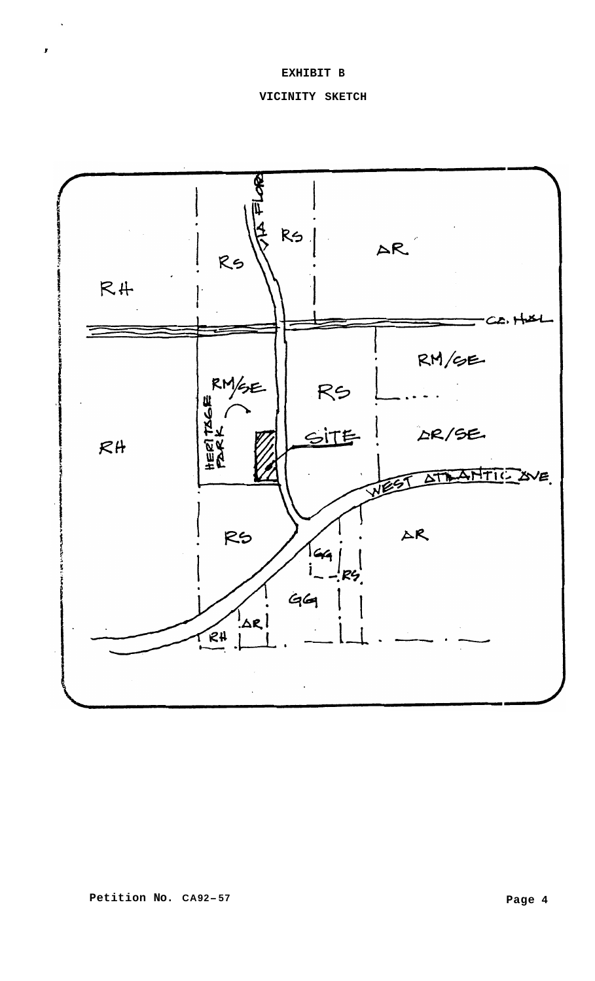# **EXHIBIT B**

 $\mathbf{r}$ 

# **VICINITY SKETCH**

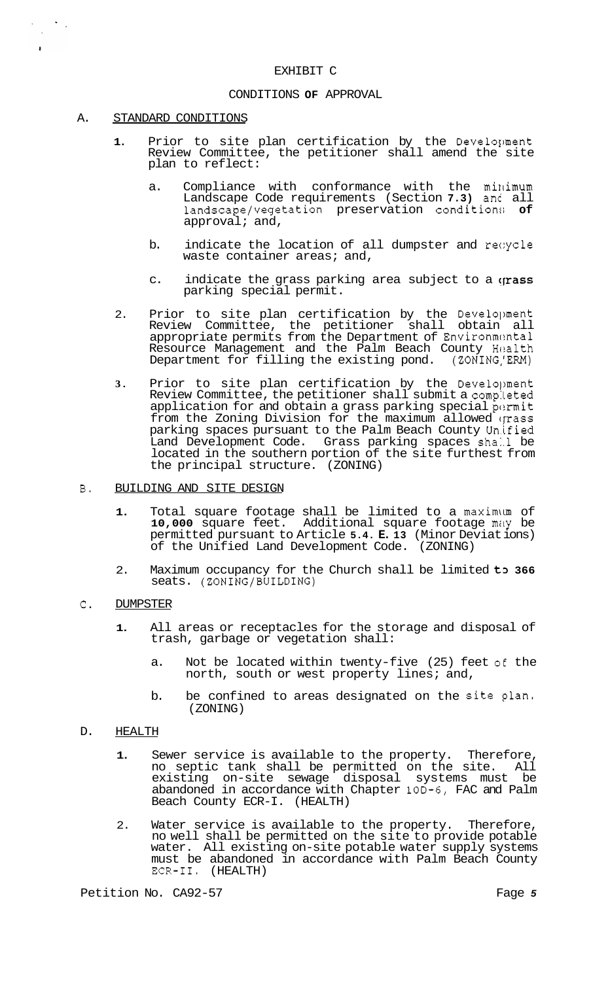# EXHIBIT C

### CONDITIONS **OF** APPROVAL

# A. STANDARD CONDITIONS

 $\label{eq:2} \frac{1}{2} \sum_{i=1}^n \frac{1}{2} \sum_{j=1}^n \frac{1}{2} \sum_{j=1}^n \frac{1}{2} \sum_{j=1}^n \frac{1}{2} \sum_{j=1}^n \frac{1}{2} \sum_{j=1}^n \frac{1}{2} \sum_{j=1}^n \frac{1}{2} \sum_{j=1}^n \frac{1}{2} \sum_{j=1}^n \frac{1}{2} \sum_{j=1}^n \frac{1}{2} \sum_{j=1}^n \frac{1}{2} \sum_{j=1}^n \frac{1}{2} \sum_{j=1}^n \frac{1}{$ 

 $\tilde{\mathbf{r}}$ 

- 1. Prior to site plan certification by the Develoument Review Committee, the petitioner shall amend the site plan to reflect:
	- a. Compliance with conformance with the minimum Landscape Code requirements (Section **7.3)** anc all landscape/vegetation preservation condition:; **of**  approval; and,
	- b. indicate the location of all dumpster and recycle waste container areas; and,
	- c. indicate the grass parking area subject to a grass parking special permit.
- 2. Prior to site plan certification by the Development Review Committee, the petitioner shall obtain all appropriate permits from the Department of Environmental Resource Management and the Palm Beach County Health<br>Department for filling the existing pond. (ZONING/ERM) Department for filling the existing pond.
- **3.** Prior to site plan certification by the Development Review Committee, the petitioner shall submit a completed application for and obtain a grass parking special permit from the Zoning Division for the maximum allowed (pass parking spaces pursuant to the Palm Beach County Un.ified Land Development Code. Grass parking spaces shall be located in the southern portion of the site furthest from the principal structure. (ZONING)
- B. BUILDING AND SITE DESIGN
	- **1.** Total square footage shall be limited to a maximlun of 10,000 square feet. Additional square footage may be permitted pursuant to Article **5.4. E. 13** (Minor Deviat ions) of the Unified Land Development Code. (ZONING)
	- 2. Maximum occupancy for the Church shall be limited t3 **366**  seats. (ZONING/BUILDING)

### *C.* DUMPSTER

- **1.** All areas or receptacles for the storage and disposal of trash, garbage or vegetation shall:
	- a. Not be located within twenty-five (25) feet *o€* the north, south or west property lines; and,
	- b. be confined to areas designated on the site plan. (ZONING)

# D. HEALTH

- **1.** Sewer service is available to the property. Therefore, no septic tank shall be permitted on the site. All existing on-site sewage disposal systems must be abandoned in accordance with Chapter 10D-6, FAC and Palm Beach County ECR-I. (HEALTH)
- 2. Water service is available to the property. Therefore, no well shall be permitted on the site to provide potable water. All existing on-site potable water supply systems must be abandoned in accordance with Palm Beach County ECR-11. (HEALTH)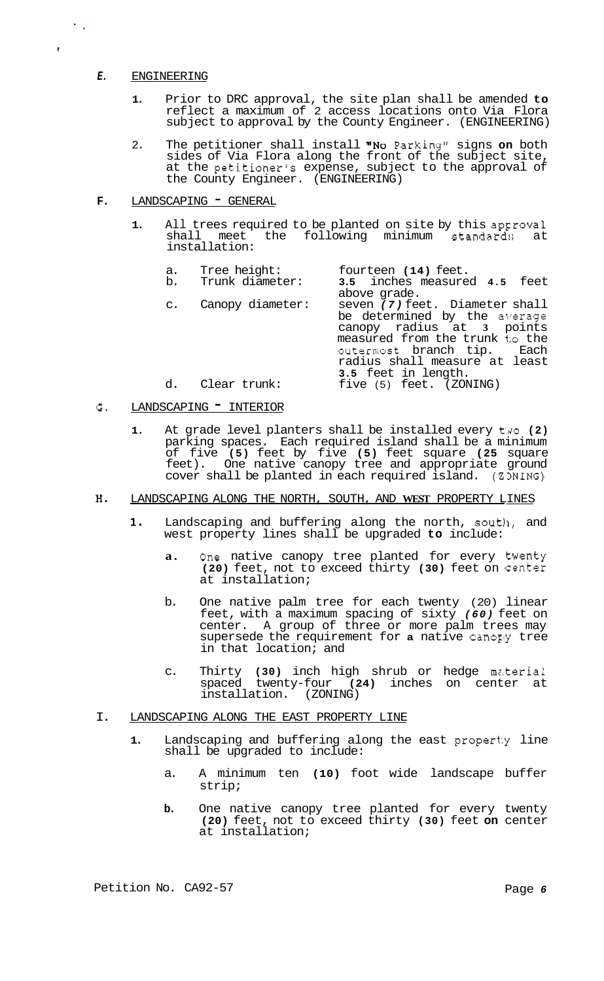# *E.* ENGINEERING

 $\left\langle \mathbf{r}^{\prime }\right\rangle _{2}$ 

 $\epsilon$ 

- **1.** Prior to DRC approval, the site plan shall be amended **to**  reflect a maximum of 2 access locations onto Via Flora subject to approval by the County Engineer. (ENGINEERING)
- 2. The petitioner shall install "No Parking" signs **on** both sides of Via Flora along the front of the subject site, at the petitioner's expense, subject to the approval of the County Engineer. (ENGINEERING)
- **F.** LANDSCAPING GENERAL
	- **1.** All trees required to be planted on site by this approval shall meet the following minimum standards at installation:

| a. | Tree height:        | fourteen (14) feet.            |
|----|---------------------|--------------------------------|
| b. | Trunk diameter:     | 3.5 inches measured 4.5 feet   |
|    |                     | above grade.                   |
|    | c. Canopy diameter: | seven (7) feet. Diameter shall |
|    |                     | be determined by the average   |
|    |                     | canopy radius at 3 points      |
|    |                     | measured from the trunk to the |
|    |                     | outermost branch tip. Each     |
|    |                     | radius shall measure at least  |
|    |                     | 3.5 feet in length.            |
| d. | Clear trunk:        | five (5) feet. (ZONING)        |

# G. LANDSCAPING TINTERIOR

- 1. At grade level planters shall be installed every  $t \neq 0$  (2) parking spaces. Each required island shall be a minimum of five **(5)** feet by five **(5)** feet square **(25** square feet). One native canopy tree and appropriate ground cover shall be planted in each required island. (Z3NING)
- **HI** LANDSCAPING ALONG THE NORTH, SOUTH, AND **WEST** PROPERTY LINES
	- **1.** Landscaping and buffering along the north, soutll, and west property lines shall be upgraded **to** include:
		- **a.** One native canopy tree planted for every twenty **(20)** feet, not to exceed thirty **(30)** feet on Center at installation;
		- b. One native palm tree for each twenty (20) linear feet, with a maximum spacing of sixty *(60)* feet on center. A group of three or more palm trees may supersede the requirement for **a** native canorly tree in that location; and
		- c. Thirty (30) inch high shrub or hedge material spaced twenty-four **(24)** inches on center at installation. (ZONING)
- I. LANDSCAPING ALONG THE EAST PROPERTY LINE
	- **1.** Landscaping and buffering along the east propert:y line shall be upgraded to include:
		- a. A minimum ten **(10)** foot wide landscape buffer strip;
		- **b.** One native canopy tree planted for every twenty **(20)** feet, not to exceed thirty **(30)** feet **on** center at installation;

Petition No. CA92-57 Page 6